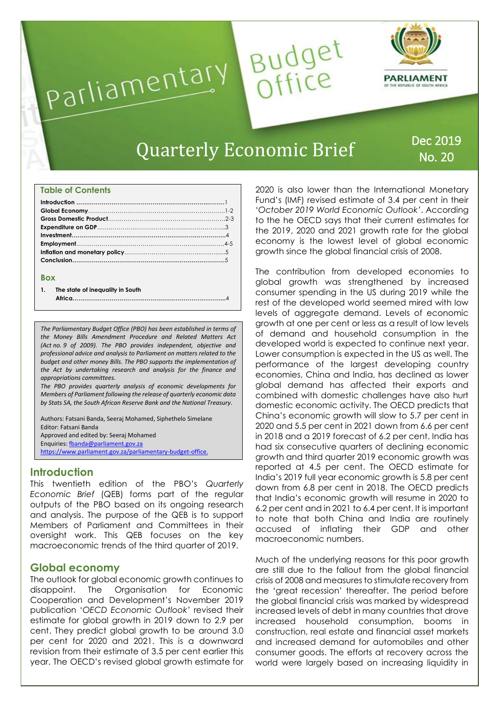

### **Table of Contents**

### **Box**

**1. The state of inequality in South** 

**Africa……………………………….…………………………………...**4

*The Parliamentary Budget Office (PBO) has been established in terms of the Money Bills Amendment Procedure and Related Matters Act (Act no. 9 of 2009). The PBO provides independent, objective and professional advice and analysis to Parliament on matters related to the budget and other money Bills. The PBO supports the implementation of the Act by undertaking research and analysis for the finance and appropriations committees.*

*The PBO provides quarterly analysis of economic developments for Members of Parliament following the release of quarterly economic data by Stats SA, the South African Reserve Bank and the National Treasury.*

Authors: Fatsani Banda, Seeraj Mohamed, Siphethelo Simelane Editor: Fatsani Banda Approved and edited by: Seeraj Mohamed Enquiries[: fbanda@parliament.gov.za](mailto:fbanda@parliament.gov.za) [https://www.parliament.gov.za/parliamentary-budget-office.](https://www.parliament.gov.za/parliamentary-budget-office)

# **Introduction**

This twentieth edition of the PBO's *Quarterly Economic Brief* (QEB) forms part of the regular outputs of the PBO based on its ongoing research and analysis. The purpose of the QEB is to support Members of Parliament and Committees in their oversight work. This QEB focuses on the key macroeconomic trends of the third quarter of 2019.

# **Global economy**

The outlook for global economic growth continues to disappoint. The Organisation for Economic Cooperation and Development's November 2019 publication '*OECD Economic Outlook'* revised their estimate for global growth in 2019 down to 2.9 per cent. They predict global growth to be around 3.0 per cent for 2020 and 2021. This is a downward revision from their estimate of 3.5 per cent earlier this year. The OECD's revised global growth estimate for

2020 is also lower than the International Monetary Fund's (IMF) revised estimate of 3.4 per cent in their '*October 2019 World Economic Outlook'*. According to the he OECD says that their current estimates for the 2019, 2020 and 2021 growth rate for the global economy is the lowest level of global economic growth since the global financial crisis of 2008.

The contribution from developed economies to global growth was strengthened by increased consumer spending in the US during 2019 while the rest of the developed world seemed mired with low levels of aggregate demand. Levels of economic growth at one per cent or less as a result of low levels of demand and household consumption in the developed world is expected to continue next year. Lower consumption is expected in the US as well. The performance of the largest developing country economies, China and India, has declined as lower global demand has affected their exports and combined with domestic challenges have also hurt domestic economic activity. The OECD predicts that China's economic growth will slow to 5.7 per cent in 2020 and 5.5 per cent in 2021 down from 6.6 per cent in 2018 and a 2019 forecast of 6.2 per cent. India has had six consecutive quarters of declining economic growth and third quarter 2019 economic growth was reported at 4.5 per cent. The OECD estimate for India's 2019 full year economic growth is 5.8 per cent down from 6.8 per cent in 2018. The OECD predicts that India's economic growth will resume in 2020 to 6.2 per cent and in 2021 to 6.4 per cent. It is important to note that both China and India are routinely accused of inflating their GDP and other macroeconomic numbers.

Much of the underlying reasons for this poor growth are still due to the fallout from the global financial crisis of 2008 and measures to stimulate recovery from the 'great recession' thereafter. The period before the global financial crisis was marked by widespread increased levels of debt in many countries that drove increased household consumption, booms in construction, real estate and financial asset markets and increased demand for automobiles and other consumer goods. The efforts at recovery across the world were largely based on increasing liquidity in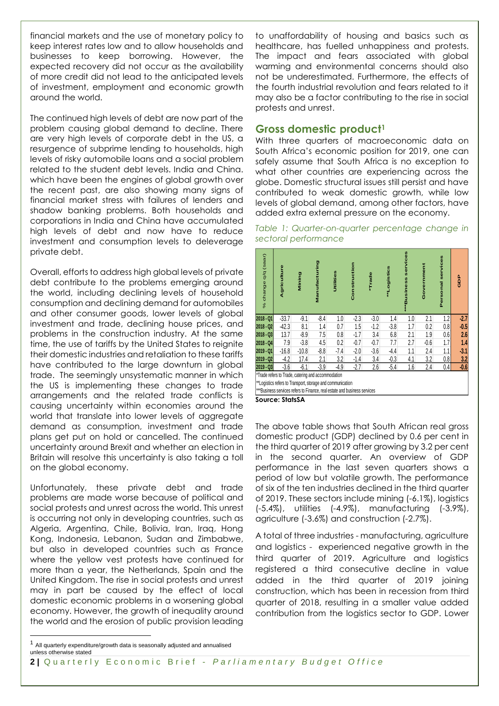financial markets and the use of monetary policy to keep interest rates low and to allow households and businesses to keep borrowing. However, the expected recovery did not occur as the availability of more credit did not lead to the anticipated levels of investment, employment and economic growth around the world.

The continued high levels of debt are now part of the problem causing global demand to decline. There are very high levels of corporate debt in the US, a resurgence of subprime lending to households, high levels of risky automobile loans and a social problem related to the student debt levels. India and China. which have been the engines of global growth over the recent past, are also showing many signs of financial market stress with failures of lenders and shadow banking problems. Both households and corporations in India and China have accumulated high levels of debt and now have to reduce investment and consumption levels to deleverage private debt.

Overall, efforts to address high global levels of private debt contribute to the problems emerging around the world, including declining levels of household consumption and declining demand for automobiles and other consumer goods, lower levels of global investment and trade, declining house prices, and problems in the construction industry. At the same time, the use of tariffs by the United States to reignite their domestic industries and retaliation to these tariffs have contributed to the large downturn in global trade. The seemingly unsystematic manner in which the US is implementing these changes to trade arrangements and the related trade conflicts is causing uncertainty within economies around the world that translate into lower levels of aggregate demand as consumption, investment and trade plans get put on hold or cancelled. The continued uncertainty around Brexit and whether an election in Britain will resolve this uncertainty is also taking a toll on the global economy.

Unfortunately, these private debt and trade problems are made worse because of political and social protests and unrest across the world. This unrest is occurring not only in developing countries, such as Algeria, Argentina, Chile, Bolivia, Iran, Iraq, Hong Kong, Indonesia, Lebanon, Sudan and Zimbabwe, but also in developed countries such as France where the yellow vest protests have continued for more than a year, the Netherlands, Spain and the United Kingdom. The rise in social protests and unrest may in part be caused by the effect of local domestic economic problems in a worsening global economy. However, the growth of inequality around the world and the erosion of public provision leading to unaffordability of housing and basics such as healthcare, has fuelled unhappiness and protests. The impact and fears associated with global warming and environmental concerns should also not be underestimated. Furthermore, the effects of the fourth industrial revolution and fears related to it may also be a factor contributing to the rise in social protests and unrest.

## **Gross domestic product<sup>1</sup>**

With three quarters of macroeconomic data on South Africa's economic position for 2019, one can safely assume that South Africa is no exception to what other countries are experiencing across the globe. Domestic structural issues still persist and have contributed to weak domestic growth, while low levels of global demand, among other factors, have added extra external pressure on the economy.

*Table 1: Quarter-on-quarter percentage change in sectoral performance*

| % change q/q (saar)                                                        | Agriculture | Mining  | Manufacturing | Utilities | Construction | Trade  | "Logistics | <b>WWBusiness services</b> | Government | Personal services | ago    |
|----------------------------------------------------------------------------|-------------|---------|---------------|-----------|--------------|--------|------------|----------------------------|------------|-------------------|--------|
| 2018 - Q1                                                                  | $-33.7$     | $-9.1$  | $-8.4$        | 1.0       | $-2.3$       | $-3.0$ | 1.4        | 1.0                        | 2.1        | 1.2               | 2.7    |
| 2018 - Q2                                                                  | $-42.3$     | 8.1     | 1.4           | 0.7       | 1.5          | $-1.2$ | $-3.8$     | 1.7                        | 0.2        | 0.8               | $-0.5$ |
| 2018 - Q3                                                                  | 13.7        | $-8.9$  | 7.5           | 0.8       | $-1.7$       | 3.4    | 6.8        | 2.1                        | 1.9        | 0.6               | 2.6    |
| 2018 - Q4                                                                  | 7.9         | $-3.8$  | 4.5           | 0.2       | $-0.7$       | $-0.7$ | 7.7        | 2.7                        | $-0.6$     | 1.7               | 1.4    |
| 2019 - Q1                                                                  | $-16.8$     | $-10.8$ | $-8.8$        | $-7.4$    | $-2.0$       | $-3.6$ | $-4.4$     | 1.1                        | 2.4        | 1.1               | 3.1    |
| 2019 - Q2                                                                  | $-4.2$      | 17.4    | 2.1           | 3.2       | $-1.4$       | 3.4    | $-0.3$     | 4.1                        | 3.2        | 0.8               | 3.2    |
| 2019 - Q3                                                                  | $-3.6$      | $-6.1$  | $-3.9$        | $-4.9$    | $-2.7$       | 2.6    | $-5.4$     | 1.6                        | 2.4        | 0.4               | 0.6    |
| *Trade refers to Trade, catering and accommodation                         |             |         |               |           |              |        |            |                            |            |                   |        |
| ** Logistics refers to Transport, storage and communication                |             |         |               |           |              |        |            |                            |            |                   |        |
| *** Business services refers to Finance, real estate and business services |             |         |               |           |              |        |            |                            |            |                   |        |
|                                                                            |             |         |               |           |              |        |            |                            |            |                   |        |

**Source: StatsSA**

The above table shows that South African real gross domestic product (GDP) declined by 0.6 per cent in the third quarter of 2019 after growing by 3.2 per cent in the second quarter. An overview of GDP performance in the last seven quarters shows a period of low but volatile growth. The performance of six of the ten industries declined in the third quarter of 2019. These sectors include mining (-6.1%), logistics (-5.4%), utilities (-4.9%), manufacturing (-3.9%), agriculture (-3.6%) and construction (-2.7%).

A total of three industries - manufacturing, agriculture and logistics - experienced negative growth in the third quarter of 2019. Agriculture and logistics registered a third consecutive decline in value added in the third quarter of 2019 joining construction, which has been in recession from third quarter of 2018, resulting in a smaller value added contribution from the logistics sector to GDP. Lower

-

<sup>1</sup> All quarterly expenditure/growth data is seasonally adjusted and annualised unless otherwise stated

**<sup>2</sup> |** Q u a r t e r l y E c o n o m i c B r i e f - *P a r l i a m e n t a r y B u d g e t O f f i c e*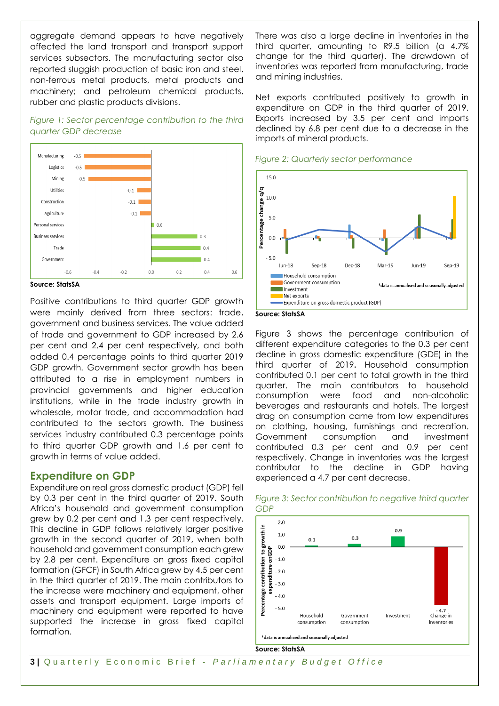aggregate demand appears to have negatively affected the land transport and transport support services subsectors. The manufacturing sector also reported sluggish production of basic iron and steel, non-ferrous metal products, metal products and machinery; and petroleum chemical products, rubber and plastic products divisions.

## *Figure 1: Sector percentage contribution to the third quarter GDP decrease*



**Source: StatsSA**

Positive contributions to third quarter GDP growth were mainly derived from three sectors: trade, government and business services. The value added of trade and government to GDP increased by 2.6 per cent and 2.4 per cent respectively, and both added 0.4 percentage points to third quarter 2019 GDP growth. Government sector growth has been attributed to a rise in employment numbers in provincial governments and higher education institutions, while in the trade industry growth in wholesale, motor trade, and accommodation had contributed to the sectors growth. The business services industry contributed 0.3 percentage points to third quarter GDP growth and 1.6 per cent to growth in terms of value added.

# **Expenditure on GDP**

Expenditure on real gross domestic product (GDP) fell by 0.3 per cent in the third quarter of 2019. South Africa's household and government consumption grew by 0.2 per cent and 1.3 per cent respectively. This decline in GDP follows relatively larger positive growth in the second quarter of 2019, when both household and government consumption each grew by 2.8 per cent. Expenditure on gross fixed capital formation (GFCF) in South Africa grew by 4.5 per cent in the third quarter of 2019. The main contributors to the increase were machinery and equipment, other assets and transport equipment. Large imports of machinery and equipment were reported to have supported the increase in gross fixed capital formation.

There was also a large decline in inventories in the third quarter, amounting to R9.5 billion (a 4.7% change for the third quarter). The drawdown of inventories was reported from manufacturing, trade and mining industries.

Net exports contributed positively to growth in expenditure on GDP in the third quarter of 2019. Exports increased by 3.5 per cent and imports declined by 6.8 per cent due to a decrease in the imports of mineral products.





**Source: StatsSA**

Figure 3 shows the percentage contribution of different expenditure categories to the 0.3 per cent decline in gross domestic expenditure (GDE) in the third quarter of 2019**.** Household consumption contributed 0.1 per cent to total growth in the third quarter. The main contributors to household consumption were food and non-alcoholic beverages and restaurants and hotels. The largest drag on consumption came from low expenditures on clothing, housing, furnishings and recreation. Government consumption and investment contributed 0.3 per cent and 0.9 per cent respectively. Change in inventories was the largest contributor to the decline in GDP having experienced a 4.7 per cent decrease.



### *Figure 3: Sector contribution to negative third quarter GDP*

**Source: StatsSA**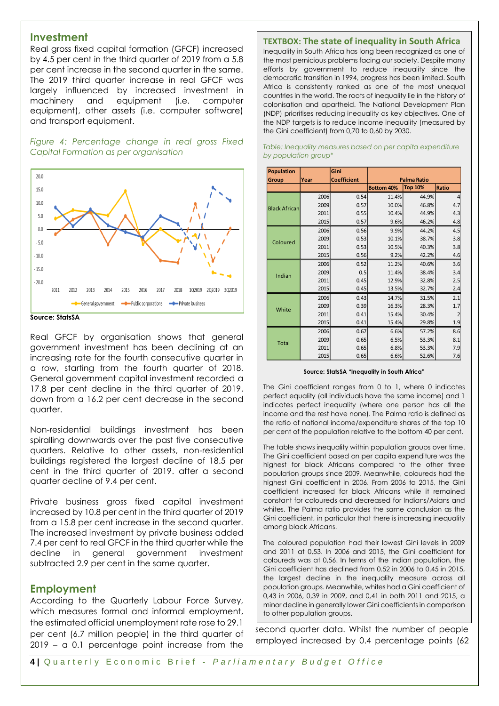## **Investment**

Real gross fixed capital formation (GFCF) increased by 4.5 per cent in the third quarter of 2019 from a 5.8 per cent increase in the second quarter in the same. The 2019 third quarter increase in real GFCF was largely influenced by increased investment in machinery and equipment (i.e. computer equipment), other assets (i.e. computer software) and transport equipment.

*Figure 4: Percentage change in real gross Fixed Capital Formation as per organisation*



#### **Source: StatsSA**

Real GFCF by organisation shows that general government investment has been declining at an increasing rate for the fourth consecutive quarter in a row, starting from the fourth quarter of 2018. General government capital investment recorded a 17.8 per cent decline in the third quarter of 2019, down from a 16.2 per cent decrease in the second quarter.

Non-residential buildings investment has been spiralling downwards over the past five consecutive quarters. Relative to other assets, non-residential buildings registered the largest decline of 18.5 per cent in the third quarter of 2019. after a second quarter decline of 9.4 per cent.

Private business gross fixed capital investment increased by 10.8 per cent in the third quarter of 2019 from a 15.8 per cent increase in the second quarter. The increased investment by private business added 7.4 per cent to real GFCF in the third quarter while the decline in general government investment subtracted 2.9 per cent in the same quarter.

### **Employment**

According to the Quarterly Labour Force Survey, which measures formal and informal employment, the estimated official unemployment rate rose to 29.1 per cent (6.7 million people) in the third quarter of 2019 – a 0.1 percentage point increase from the

#### **TEXTBOX: The state of inequality in South Africa**

Inequality in South Africa has long been recognized as one of the most pernicious problems facing our society. Despite many efforts by government to reduce inequality since the democratic transition in 1994, progress has been limited. South Africa is consistently ranked as one of the most unequal countries in the world. The roots of inequality lie in the history of colonisation and apartheid. The National Development Plan (NDP) prioritises reducing inequality as key objectives. One of the NDP targets is to reduce income inequality (measured by the Gini coefficient) from 0,70 to 0,60 by 2030.

| <b>Population</b>    |      | Gini               |                    |                |       |
|----------------------|------|--------------------|--------------------|----------------|-------|
| Group                | Year | <b>Coefficient</b> | <b>Palma Ratio</b> |                |       |
|                      |      |                    | <b>Bottom 40%</b>  | <b>Top 10%</b> | Ratio |
| <b>Black African</b> | 2006 | 0.54               | 11.4%              | 44.9%          |       |
|                      | 2009 | 0.57               | 10.0%              | 46.8%          | 4.7   |
|                      | 2011 | 0.55               | 10.4%              | 44.9%          | 4.3   |
|                      | 2015 | 0.57               | 9.6%               | 46.2%          | 4.8   |
|                      | 2006 | 0.56               | 9.9%               | 44.2%          | 4.5   |
| Coloured             | 2009 | 0.53               | 10.1%              | 38.7%          | 3.8   |
|                      | 2011 | 0.53               | 10.5%              | 40.3%          | 3.8   |
|                      | 2015 | 0.56               | 9.2%               | 42.2%          | 4.6   |
|                      | 2006 | 0.52               | 11.2%              | 40.6%          | 3.6   |
| Indian               | 2009 | 0.5                | 11.4%              | 38.4%          | 3.4   |
|                      | 2011 | 0.45               | 12.9%              | 32.8%          | 2.5   |
|                      | 2015 | 0.45               | 13.5%              | 32.7%          | 2.4   |
|                      | 2006 | 0.43               | 14.7%              | 31.5%          | 2.1   |
| White                | 2009 | 0.39               | 16.3%              | 28.3%          | 1.7   |
|                      | 2011 | 0.41               | 15.4%              | 30.4%          |       |
|                      | 2015 | 0.41               | 15.4%              | 29.8%          | 1.9   |
|                      | 2006 | 0.67               | 6.6%               | 57.2%          | 8.6   |
| <b>Total</b>         | 2009 | 0.65               | 6.5%               | 53.3%          | 8.1   |
|                      | 2011 | 0.65               | 6.8%               | 53.3%          | 7.9   |
|                      | 2015 | 0.65               | 6.6%               | 52.6%          | 7.6   |

#### *Table: Inequality measures based on per capita expenditure by population group\**

#### **Source: StatsSA "Inequality in South Africa"**

The Gini coefficient ranges from 0 to 1, where 0 indicates perfect equality (all individuals have the same income) and 1 indicates perfect inequality (where one person has all the income and the rest have none). The Palma ratio is defined as the ratio of national income/expenditure shares of the top 10 per cent of the population relative to the bottom 40 per cent.

The table shows inequality within population groups over time. The Gini coefficient based on per capita expenditure was the highest for black Africans compared to the other three population groups since 2009. Meanwhile, coloureds had the highest Gini coefficient in 2006. From 2006 to 2015, the Gini coefficient increased for black Africans while it remained constant for coloureds and decreased for Indians/Asians and whites. The Palma ratio provides the same conclusion as the Gini coefficient, in particular that there is increasing inequality among black Africans.

The coloured population had their lowest Gini levels in 2009 and 2011 at 0,53. In 2006 and 2015, the Gini coefficient for coloureds was at 0,56. In terms of the Indian population, the Gini coefficient has declined from 0.52 in 2006 to 0.45 in 2015, the largest decline in the inequality measure across all population groups. Meanwhile, whites had a Gini coefficient of 0,43 in 2006, 0,39 in 2009, and 0,41 in both 2011 and 2015, a minor decline in generally lower Gini coefficients in comparison to other population groups.

second quarter data. Whilst the number of people employed increased by 0.4 percentage points (62